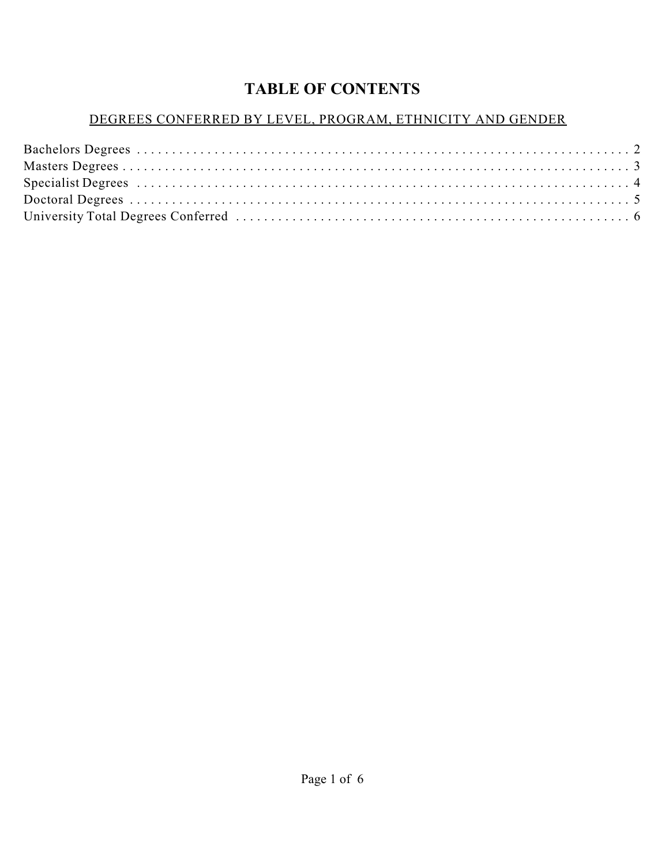# **TABLE OF CONTENTS**

#### DEGREES CONFERRED BY LEVEL, PROGRAM, ETHNICITY AND GENDER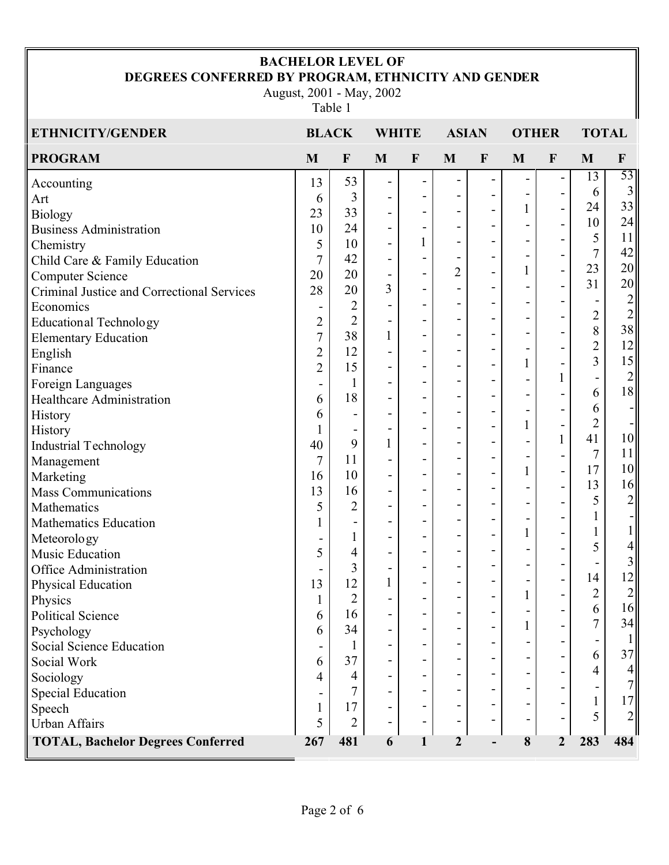#### **BACHELOR LEVEL OF DEGREES CONFERRED BY PROGRAM, ETHNICITY AND GENDER**

August, 2001 - May, 2002

Table 1

| <b>ETHNICITY/GENDER</b>                    | <b>BLACK</b>             |                              | <b>WHITE</b>                 |                              | <b>ASIAN</b>   |                              | <b>OTHER</b> |                          | <b>TOTAL</b>   |                                        |
|--------------------------------------------|--------------------------|------------------------------|------------------------------|------------------------------|----------------|------------------------------|--------------|--------------------------|----------------|----------------------------------------|
| <b>PROGRAM</b>                             | M                        | $\mathbf F$                  | $\mathbf{M}$                 | $\mathbf{F}$                 | M              | $\mathbf F$                  | M            | $\mathbf{F}$             | M              | $\mathbf F$                            |
| Accounting                                 | 13                       | 53                           | $\qquad \qquad \blacksquare$ | $\overline{\phantom{0}}$     |                |                              |              |                          | 13             | 53                                     |
| Art                                        | 6                        | 3                            | $\overline{\phantom{a}}$     | ٠                            |                |                              | -            |                          | 6              | 3                                      |
| <b>Biology</b>                             | 23                       | 33                           | $\qquad \qquad \blacksquare$ | $\overline{\phantom{a}}$     |                |                              | $\mathbf{1}$ | $\overline{\phantom{0}}$ | 24             | 33                                     |
| <b>Business Administration</b>             | 10                       | 24                           | $\blacksquare$               | $\qquad \qquad \blacksquare$ | $\overline{a}$ |                              |              |                          | 10             | 24                                     |
| Chemistry                                  | 5                        | 10                           | $\qquad \qquad \blacksquare$ | 1                            |                |                              |              | $\overline{a}$           | 5              | 11                                     |
| Child Care & Family Education              | $\tau$                   | 42                           | $\overline{\phantom{a}}$     | $\overline{a}$               |                | $\blacksquare$               |              |                          | 7              | 42                                     |
| <b>Computer Science</b>                    | 20                       | 20                           | $\qquad \qquad \blacksquare$ | L,                           | $\overline{2}$ |                              | $\mathbf{1}$ | $\overline{a}$           | 23             | 20                                     |
| Criminal Justice and Correctional Services | 28                       | 20                           | 3                            | $\overline{\phantom{a}}$     |                |                              |              | -                        | 31             | 20                                     |
| Economics                                  | $\overline{\phantom{a}}$ | $\overline{2}$               | $\qquad \qquad -$            | $\overline{\phantom{a}}$     |                |                              |              |                          |                | $\overline{2}$                         |
| <b>Educational Technology</b>              | $\overline{2}$           | $\overline{2}$               | $\overline{\phantom{a}}$     | $\overline{\phantom{a}}$     |                | $\overline{\phantom{0}}$     |              |                          | $\overline{2}$ | $\overline{2}$<br>38                   |
| <b>Elementary Education</b>                | $\overline{7}$           | 38                           | $\mathbf{1}$                 | $\overline{\phantom{a}}$     |                |                              |              |                          | 8              |                                        |
| English                                    | $\overline{2}$           | 12                           | $\blacksquare$               | $\overline{\phantom{a}}$     |                | $\overline{\phantom{0}}$     | -            |                          | $\overline{2}$ | 12                                     |
| Finance                                    | $\overline{2}$           | 15                           | $\qquad \qquad -$            | $\qquad \qquad \blacksquare$ |                |                              | 1            |                          | 3              | 15                                     |
| Foreign Languages                          | $\overline{\phantom{0}}$ | $\mathbf{1}$                 | $\blacksquare$               | ٠                            |                |                              |              |                          |                | $\left  \frac{2}{2} \right $           |
| <b>Healthcare Administration</b>           | 6                        | 18                           | $\overline{\phantom{a}}$     | $\overline{\phantom{a}}$     |                | -                            |              |                          | 6              | 18                                     |
| History                                    | 6                        | $\qquad \qquad \blacksquare$ | $\overline{\phantom{a}}$     | $\overline{\phantom{a}}$     | -              |                              |              |                          | 6              |                                        |
| History                                    |                          | $\overline{\phantom{a}}$     | $\qquad \qquad -$            | $\overline{\phantom{a}}$     |                | $\overline{a}$               | $\mathbf{1}$ |                          | $\overline{2}$ | $=$ $\overline{ }$                     |
| Industrial Technology                      | 40                       | 9                            | $\mathbf{1}$                 | $\overline{\phantom{a}}$     |                | -                            |              |                          | 41             | 10                                     |
| Management                                 | $\tau$                   | 11                           | $\overline{\phantom{a}}$     | ٠                            |                |                              |              | $\overline{a}$           | 7              | 11                                     |
| Marketing                                  | 16                       | 10                           | $\overline{a}$               | $\overline{\phantom{a}}$     |                |                              | $\mathbf{1}$ | $\overline{a}$           | 17             | 10                                     |
| <b>Mass Communications</b>                 | 13                       | 16                           | $\blacksquare$               | ٠                            | $\overline{a}$ | $\qquad \qquad \blacksquare$ |              |                          | 13             | 16                                     |
| Mathematics                                | 5                        | $\overline{2}$               | $\overline{\phantom{a}}$     | $\overline{\phantom{a}}$     |                | $\overline{a}$               |              |                          | 5              | $\overline{c}$                         |
| <b>Mathematics Education</b>               | 1                        | $\overline{\phantom{a}}$     | $\overline{\phantom{a}}$     | ٠                            |                |                              |              |                          | 1              |                                        |
| Meteorology                                |                          | $\mathbf{1}$                 | $\qquad \qquad -$            | $\blacksquare$               |                | $\overline{\phantom{0}}$     | $\mathbf{1}$ |                          |                | $1\vert$                               |
| <b>Music Education</b>                     | 5                        | 4                            | $\qquad \qquad -$            | $\qquad \qquad \blacksquare$ |                |                              |              |                          | 5              | $\overline{\mathcal{A}}$               |
| <b>Office Administration</b>               |                          | 3                            | $\overline{\phantom{a}}$     | ٠                            |                |                              |              |                          |                | 3                                      |
| Physical Education                         | 13                       | 12                           | $\mathbf{1}$                 | $\overline{\phantom{a}}$     |                |                              |              |                          | 14             | 12                                     |
| Physics                                    | 1                        | $\overline{2}$               |                              |                              |                |                              | 1            |                          | $\overline{2}$ | $\begin{array}{c} 2 \\ 16 \end{array}$ |
| <b>Political Science</b>                   | 6                        | 16                           |                              |                              |                |                              |              | $\overline{a}$           | 6              |                                        |
| Psychology                                 | 6                        | 34                           | $\qquad \qquad \blacksquare$ |                              |                |                              |              |                          | 7              | 34                                     |
| Social Science Education                   |                          | 1                            | $\blacksquare$               |                              |                |                              |              |                          |                | $\mathbf{1}$                           |
| Social Work                                | 6                        | 37                           | $\qquad \qquad \blacksquare$ |                              |                |                              |              |                          | 6              | 37                                     |
| Sociology                                  | $\overline{4}$           | 4                            | $\qquad \qquad \blacksquare$ |                              |                |                              |              |                          | 4              | $\vert 4 \vert$                        |
| <b>Special Education</b>                   |                          | 7                            | -                            |                              |                |                              |              |                          |                | 7                                      |
| Speech                                     | $\mathbf{1}$             | 17                           | $\blacksquare$               |                              |                |                              |              |                          | 1              | 17                                     |
| <b>Urban Affairs</b>                       | 5                        | $\overline{2}$               | $\blacksquare$               |                              |                |                              |              |                          | 5              | $\overline{2}$                         |
| <b>TOTAL, Bachelor Degrees Conferred</b>   | 267                      | 481                          | 6                            | $\mathbf{1}$                 | $\overline{2}$ |                              | 8            | $\overline{2}$           | 283            | 484                                    |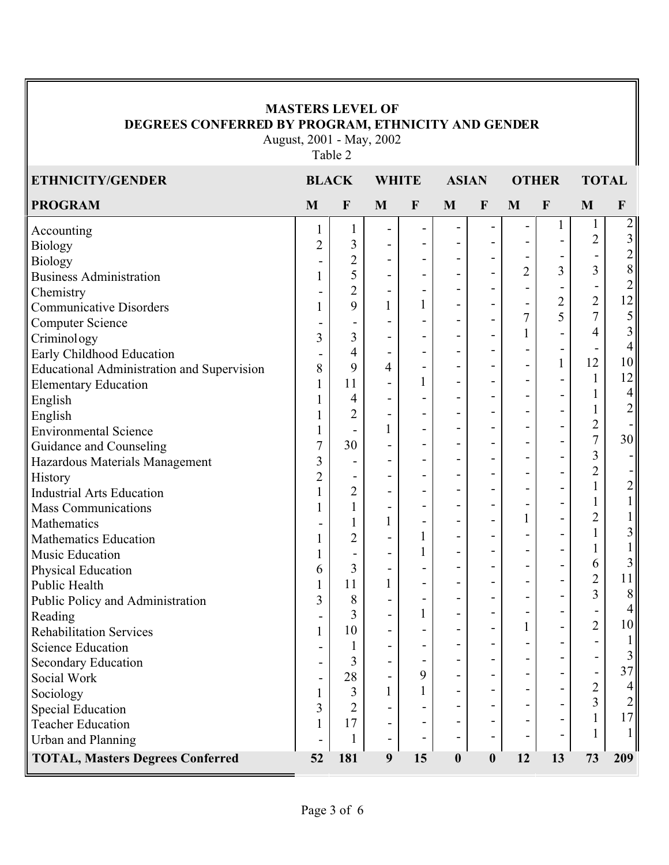#### **MASTERS LEVEL OF DEGREES CONFERRED BY PROGRAM, ETHNICITY AND GENDER**

August, 2001 - May, 2002 Table 2

| ETHNICITY/GENDER                                  | <b>BLACK</b>   |                          | <b>WHITE</b>                 |                          | <b>ASIAN</b>             |                          | <b>OTHER</b>                 |                          | <b>TOTAL</b>   |                          |
|---------------------------------------------------|----------------|--------------------------|------------------------------|--------------------------|--------------------------|--------------------------|------------------------------|--------------------------|----------------|--------------------------|
| <b>PROGRAM</b>                                    | M              | $\mathbf F$              | M                            | $\mathbf F$              | $\mathbf{M}$             | $\mathbf{F}$             | M                            | $\mathbf{F}$             | M              | $\mathbf{F}$             |
| Accounting                                        | 1              | 1                        | $\qquad \qquad -$            | $\overline{\phantom{a}}$ |                          |                          | -                            | 1                        | $\mathbf{1}$   | $\overline{2}$           |
| <b>Biology</b>                                    | $\overline{2}$ | 3                        | $\overline{\phantom{a}}$     | $\overline{\phantom{a}}$ |                          |                          |                              |                          | $\overline{2}$ | $\mathfrak{Z}$           |
| <b>Biology</b>                                    |                | $\overline{2}$           | $\overline{\phantom{0}}$     | $\overline{\phantom{a}}$ | $\blacksquare$           |                          |                              |                          |                | $\sqrt{2}$               |
| <b>Business Administration</b>                    |                | 5                        | $\blacksquare$               | $\overline{\phantom{a}}$ |                          |                          | $\overline{2}$               | 3                        | 3              | $8\,$                    |
| Chemistry                                         |                | $\overline{2}$           | $\qquad \qquad \blacksquare$ | $\overline{\phantom{a}}$ |                          |                          |                              |                          |                | $\overline{c}$           |
| <b>Communicative Disorders</b>                    |                | 9                        | $\mathbf{1}$                 | $\mathbf{1}$             |                          |                          | $\qquad \qquad \blacksquare$ | $\overline{c}$           | $\overline{2}$ | 12                       |
| <b>Computer Science</b>                           |                | $\overline{\phantom{a}}$ |                              | $\overline{\phantom{a}}$ |                          |                          | $\overline{7}$               | 5                        | $\overline{7}$ | $\sqrt{5}$               |
| Criminology                                       | 3              | 3                        | $\overline{\phantom{a}}$     | $\overline{\phantom{a}}$ |                          |                          | $\mathbf{1}$                 |                          | 4              | 3                        |
| Early Childhood Education                         | $\overline{a}$ | 4                        | $\overline{\phantom{a}}$     | $\blacksquare$           | -                        | $\overline{\phantom{a}}$ |                              | $\overline{\phantom{0}}$ |                | $\overline{4}$           |
| <b>Educational Administration and Supervision</b> | 8              | 9                        | $\overline{4}$               | $\overline{\phantom{a}}$ |                          |                          |                              | 1                        | 12             | 10                       |
| <b>Elementary Education</b>                       |                | 11                       | $\overline{\phantom{a}}$     | $\mathbf{1}$             |                          |                          |                              |                          | $\mathbf{1}$   | 12                       |
| English                                           |                | 4                        | $\qquad \qquad \blacksquare$ |                          |                          | -                        |                              |                          | 1              | $\overline{4}$           |
| English                                           |                | $\overline{2}$           | $\overline{\phantom{a}}$     |                          |                          |                          |                              |                          |                | $\overline{2}$           |
| <b>Environmental Science</b>                      | 1              |                          | $\mathbf{1}$                 | $\overline{\phantom{a}}$ |                          |                          |                              |                          | $\overline{2}$ |                          |
| Guidance and Counseling                           | $\overline{7}$ | 30                       | $\overline{\phantom{a}}$     |                          | $\overline{\phantom{a}}$ |                          |                              |                          | $\overline{7}$ | 30                       |
| Hazardous Materials Management                    | 3              | -                        | $\qquad \qquad \blacksquare$ | $\overline{\phantom{a}}$ |                          |                          |                              |                          | $\overline{3}$ |                          |
| <b>History</b>                                    | $\overline{2}$ | $\overline{\phantom{a}}$ | $\overline{a}$               | $\overline{\phantom{a}}$ | $\blacksquare$           |                          |                              |                          | $\overline{2}$ |                          |
| <b>Industrial Arts Education</b>                  |                | $\overline{2}$           | $\qquad \qquad \blacksquare$ |                          |                          |                          |                              | $\overline{\phantom{0}}$ | $\mathbf{1}$   | $\overline{c}$           |
| <b>Mass Communications</b>                        |                | $\mathbf{1}$             | $\qquad \qquad \blacksquare$ | $\overline{\phantom{a}}$ |                          |                          |                              |                          |                | $\mathbf{1}$             |
| Mathematics                                       |                | 1                        | $\mathbf{1}$                 | $\overline{\phantom{a}}$ | $\blacksquare$           |                          | $\mathbf{1}$                 |                          | $\overline{c}$ |                          |
| <b>Mathematics Education</b>                      |                | $\overline{2}$           | $\qquad \qquad \blacksquare$ | $\mathbf{1}$             |                          | $\qquad \qquad -$        |                              |                          | $\mathbf{1}$   | 3                        |
| Music Education                                   |                | $\overline{\phantom{a}}$ | $\qquad \qquad -$            | $\mathbf{1}$             |                          |                          |                              |                          | $\mathbf{1}$   | $\mathbf{1}$             |
| Physical Education                                | 6              | 3                        | $\qquad \qquad -$            |                          |                          | $\blacksquare$           |                              | $\overline{\phantom{0}}$ | 6              | 3                        |
| Public Health                                     |                | 11                       | $\mathbf{1}$                 | $\overline{\phantom{a}}$ |                          |                          |                              |                          | $\overline{2}$ | 11                       |
| Public Policy and Administration                  | $\overline{3}$ | 8                        | $\qquad \qquad \blacksquare$ | $\overline{\phantom{a}}$ |                          | -                        |                              |                          | $\overline{3}$ | $\,8\,$                  |
| Reading                                           |                | 3                        | $\overline{\phantom{0}}$     | $\mathbf{1}$             |                          | -                        |                              |                          |                | $\overline{\mathcal{A}}$ |
| <b>Rehabilitation Services</b>                    |                | 10                       | $\overline{\phantom{a}}$     |                          |                          |                          | $\mathbf{1}$                 |                          | $\overline{2}$ | 10                       |
| <b>Science Education</b>                          |                | 1                        | -                            | $\overline{\phantom{0}}$ |                          |                          |                              |                          |                | $\mathbf{1}$             |
| Secondary Education                               |                | 3                        |                              |                          |                          |                          |                              |                          |                | 3                        |
| Social Work                                       |                | 28                       | $\overline{\phantom{a}}$     | 9                        |                          |                          |                              |                          |                | 37                       |
| Sociology                                         | 1              | 3                        | $\mathbf{1}$                 | 1                        |                          |                          |                              |                          | $\overline{2}$ | $\overline{4}$           |
| <b>Special Education</b>                          | 3              | 2                        |                              |                          |                          |                          |                              |                          | 3              | $\overline{2}$           |
| <b>Teacher Education</b>                          |                | 17                       | -                            |                          |                          |                          |                              |                          |                | 17                       |
| Urban and Planning                                |                | 1                        | $\qquad \qquad \blacksquare$ |                          |                          |                          |                              |                          |                | 1                        |
| <b>TOTAL, Masters Degrees Conferred</b>           | 52             | 181                      | $\boldsymbol{9}$             | 15                       | $\boldsymbol{0}$         | $\boldsymbol{0}$         | 12                           | 13                       | 73             | 209                      |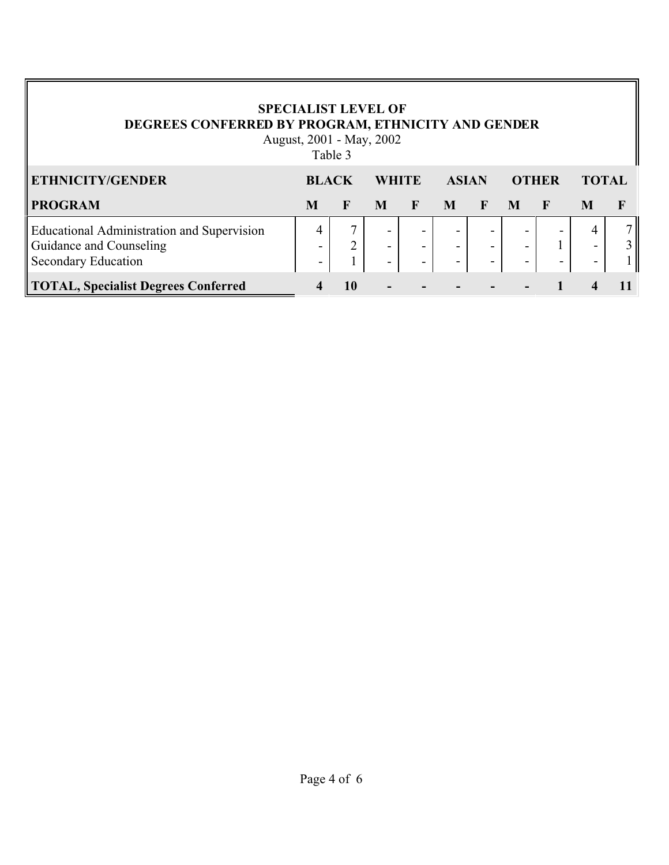### **SPECIALIST LEVEL OF DEGREES CONFERRED BY PROGRAM, ETHNICITY AND GENDER**

August, 2001 - May, 2002 Table 3

| <b>ETHNICITY/GENDER</b>                                                                                    | <b>BLACK</b> |    | <b>WHITE</b>                       |                                                                                  | <b>ASIAN</b>             |                          | <b>OTHER</b>                                                                     |   | <b>TOTAL</b>                                         |  |
|------------------------------------------------------------------------------------------------------------|--------------|----|------------------------------------|----------------------------------------------------------------------------------|--------------------------|--------------------------|----------------------------------------------------------------------------------|---|------------------------------------------------------|--|
| <b>PROGRAM</b>                                                                                             | M            |    | M                                  | $\mathbf F$                                                                      | M                        | F                        | $\mathbf{M}$                                                                     | F |                                                      |  |
| <b>Educational Administration and Supervision</b><br>Guidance and Counseling<br><b>Secondary Education</b> |              |    | -<br>-<br>$\overline{\phantom{a}}$ | $\overline{\phantom{0}}$<br>$\overline{\phantom{a}}$<br>$\overline{\phantom{a}}$ | $\overline{\phantom{0}}$ | $\overline{\phantom{a}}$ | $\overline{\phantom{0}}$<br>$\overline{\phantom{a}}$<br>$\overline{\phantom{0}}$ | - | $\overline{\phantom{a}}$<br>$\overline{\phantom{0}}$ |  |
| <b>TOTAL, Specialist Degrees Conferred</b>                                                                 |              | 10 | ۰.                                 |                                                                                  |                          |                          |                                                                                  |   |                                                      |  |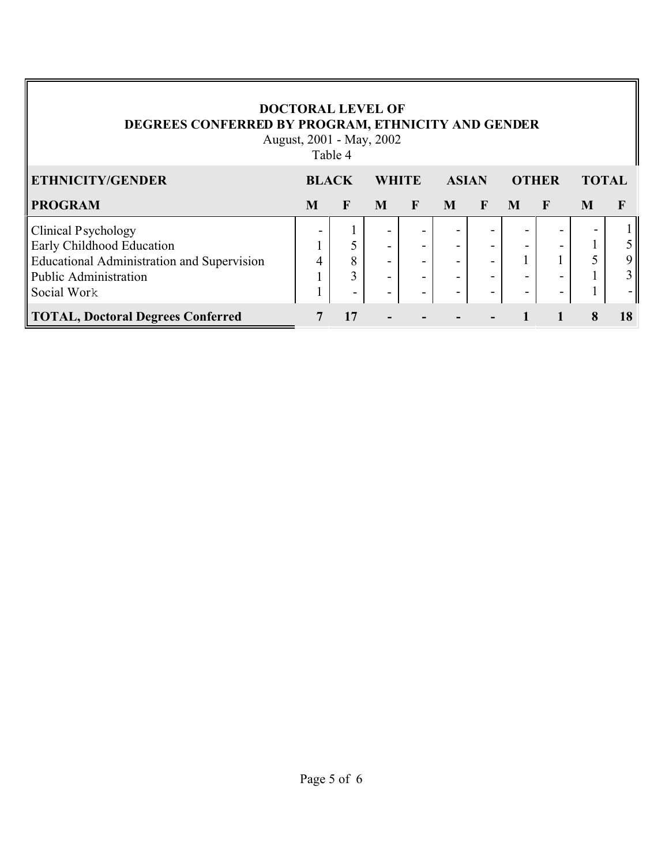### **DOCTORAL LEVEL OF DEGREES CONFERRED BY PROGRAM, ETHNICITY AND GENDER**

August, 2001 - May, 2002 Table 4

| ETHNICITY/GENDER                                  | <b>BLACK</b> |    | <b>WHITE</b>             |                          | <b>ASIAN</b> |              | <b>OTHER</b> |                          | <b>TOTAL</b>             |                |
|---------------------------------------------------|--------------|----|--------------------------|--------------------------|--------------|--------------|--------------|--------------------------|--------------------------|----------------|
| <b>PROGRAM</b>                                    | M            | F  | M                        | F                        | M            | $\mathbf{F}$ | M            | $\mathbf F$              | M                        |                |
| <b>Clinical Psychology</b>                        |              |    | -                        | $\overline{\phantom{0}}$ |              |              |              | $\overline{\phantom{0}}$ | $\overline{\phantom{a}}$ |                |
| Early Childhood Education                         |              |    | -                        |                          |              |              |              |                          |                          |                |
| <b>Educational Administration and Supervision</b> |              | 8  | ۰.                       | $\,$                     |              |              |              |                          |                          | 9              |
| <b>Public Administration</b>                      |              | 3  | $\overline{\phantom{0}}$ | $\,$                     |              |              |              |                          |                          | $\overline{3}$ |
| Social Work                                       |              | -  | -                        | $\,$                     |              |              |              |                          |                          |                |
| <b>TOTAL, Doctoral Degrees Conferred</b>          |              | 17 | $\blacksquare$           |                          |              |              |              |                          |                          | 18             |